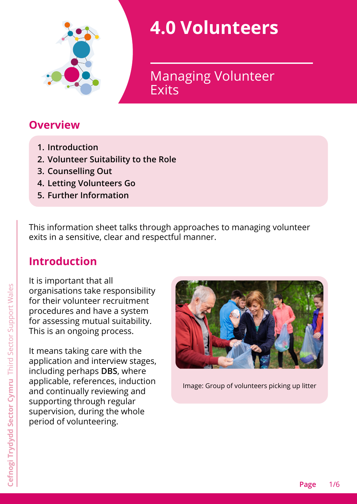

# **4.0 Volunteers**

**Exits** Managing Volunteer

#### **Overview**

- <span id="page-0-0"></span>**1. [Introduction](#page-0-0)**
- **2. [Volunteer Suitability to the Role](#page-1-0)**
- **3. [Counselling Out](#page-2-0)**
- **4. [Letting Volunteers Go](#page-3-0)**
- **5. [Further Information](#page-4-0)**

This information sheet talks through approaches to managing volunteer exits in a sensitive, clear and respectful manner.

### **Introduction**

It is important that all organisations take responsibility for their volunteer recruitment procedures and have a system for assessing mutual suitability. This is an ongoing process.

It means taking care with the application and interview stages, including perhaps **DBS**, where applicable, references, induction and continually reviewing and supporting through regular supervision, during the whole period of volunteering.



Image: Group of volunteers picking up litter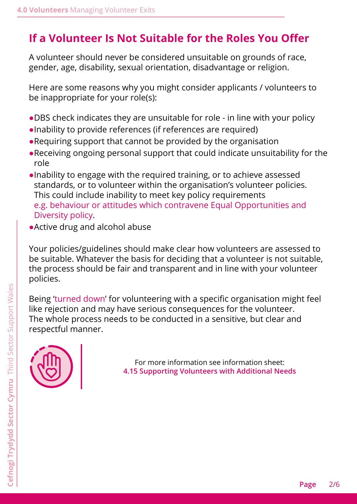# <span id="page-1-0"></span>**If a Volunteer Is Not Suitable for the Roles You Offer**

A volunteer should never be considered unsuitable on grounds of race, gender, age, disability, sexual orientation, disadvantage or religion.

Here are some reasons why you might consider applicants / volunteers to be inappropriate for your role(s):

- ●DBS check indicates they are unsuitable for role in line with your policy
- ●Inability to provide references (if references are required)
- ●Requiring support that cannot be provided by the organisation
- ●Receiving ongoing personal support that could indicate unsuitability for the role
- ●Inability to engage with the required training, or to achieve assessed standards, or to volunteer within the organisation's volunteer policies. This could include inability to meet key policy requirements e.g. behaviour or attitudes which contravene Equal Opportunities and Diversity policy.
- ●Active drug and alcohol abuse

Your policies/guidelines should make clear how volunteers are assessed to be suitable. Whatever the basis for deciding that a volunteer is not suitable, the process should be fair and transparent and in line with your volunteer policies.

Being 'turned down' for volunteering with a specific organisation might feel like rejection and may have serious consequences for the volunteer. The whole process needs to be conducted in a sensitive, but clear and respectful manner.



For more information see information sheet: **4.15 Supporting Volunteers with Additional Needs**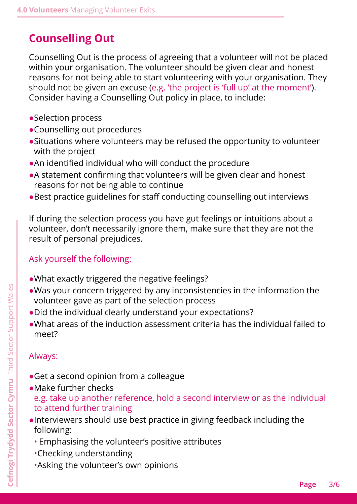## <span id="page-2-0"></span>**Counselling Out**

Counselling Out is the process of agreeing that a volunteer will not be placed within your organisation. The volunteer should be given clear and honest reasons for not being able to start volunteering with your organisation. They should not be given an excuse (e.g. 'the project is 'full up' at the moment'). Consider having a Counselling Out policy in place, to include:

- ●Selection process
- ●Counselling out procedures
- ●Situations where volunteers may be refused the opportunity to volunteer with the project
- ●An identified individual who will conduct the procedure
- ●A statement confirming that volunteers will be given clear and honest reasons for not being able to continue
- ●Best practice guidelines for staff conducting counselling out interviews

If during the selection process you have gut feelings or intuitions about a volunteer, don't necessarily ignore them, make sure that they are not the result of personal prejudices.

#### Ask yourself the following:

- ●What exactly triggered the negative feelings?
- ●Was your concern triggered by any inconsistencies in the information the volunteer gave as part of the selection process
- ●Did the individual clearly understand your expectations?
- ●What areas of the induction assessment criteria has the individual failed to meet?

#### Always:

- ●Get a second opinion from a colleague
- ●Make further checks e.g. take up another reference, hold a second interview or as the individual to attend further training
- ●Interviewers should use best practice in giving feedback including the following:
	- Emphasising the volunteer's positive attributes
	- •Checking understanding
	- •Asking the volunteer's own opinions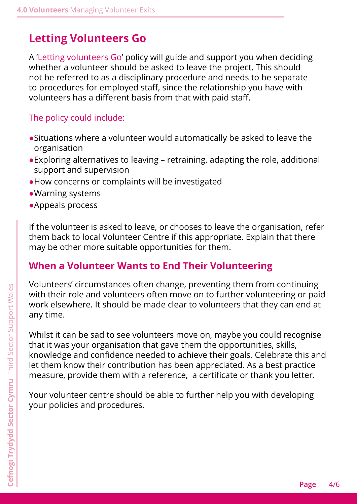## <span id="page-3-0"></span>**Letting Volunteers Go**

A 'Letting volunteers Go' policy will guide and support you when deciding whether a volunteer should be asked to leave the project. This should not be referred to as a disciplinary procedure and needs to be separate to procedures for employed staff, since the relationship you have with volunteers has a different basis from that with paid staff.

#### The policy could include:

- ●Situations where a volunteer would automatically be asked to leave the organisation
- ●Exploring alternatives to leaving retraining, adapting the role, additional support and supervision
- ●How concerns or complaints will be investigated
- ●Warning systems
- ●Appeals process

If the volunteer is asked to leave, or chooses to leave the organisation, refer them back to local Volunteer Centre if this appropriate. Explain that there may be other more suitable opportunities for them.

#### **When a Volunteer Wants to End Their Volunteering**

Volunteers' circumstances often change, preventing them from continuing with their role and volunteers often move on to further volunteering or paid work elsewhere. It should be made clear to volunteers that they can end at any time.

Whilst it can be sad to see volunteers move on, maybe you could recognise that it was your organisation that gave them the opportunities, skills, knowledge and confidence needed to achieve their goals. Celebrate this and let them know their contribution has been appreciated. As a best practice measure, provide them with a reference, a certificate or thank you letter.

Your volunteer centre should be able to further help you with developing your policies and procedures.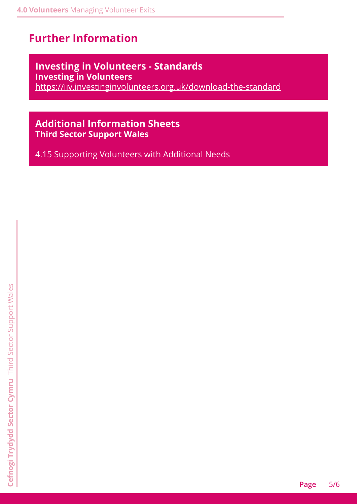# <span id="page-4-0"></span>**Further Information**

#### **Investing in Volunteers - Standards Investing in Volunteers**

<https://iiv.investinginvolunteers.org.uk/download-the-standard>

#### **Additional Information Sheets Third Sector Support Wales**

4.15 Supporting Volunteers with Additional Needs